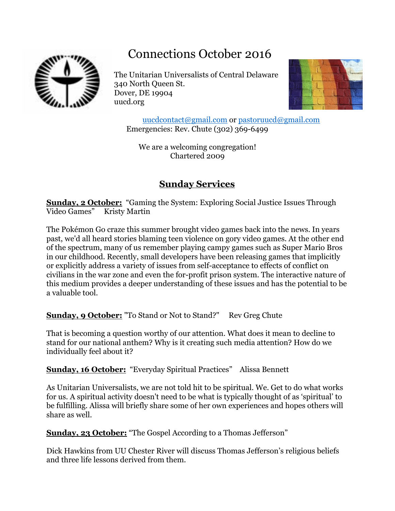# Connections October 2016



The Unitarian Universalists of Central Delaware 340 North Queen St. Dover, DE 19904 uucd.org



[uucdcontact@gmail.com](mailto:uucdcontact@gmail.com) or [pastoruucd@gmail.com](mailto:pastoruucd@gmail.com) Emergencies: Rev. Chute (302) 369-6499

We are a welcoming congregation! Chartered 2009

# **Sunday Services**

**Sunday, 2 October:** "Gaming the System: Exploring Social Justice Issues Through Video Games" Kristy Martin

The Pokémon Go craze this summer brought video games back into the news. In years past, we'd all heard stories blaming teen violence on gory video games. At the other end of the spectrum, many of us remember playing campy games such as Super Mario Bros in our childhood. Recently, small developers have been releasing games that implicitly or explicitly address a variety of issues from self-acceptance to effects of conflict on civilians in the war zone and even the for-profit prison system. The interactive nature of this medium provides a deeper understanding of these issues and has the potential to be a valuable tool.

**Sunday, 9 October:** "To Stand or Not to Stand?" Rev Greg Chute

That is becoming a question worthy of our attention. What does it mean to decline to stand for our national anthem? Why is it creating such media attention? How do we individually feel about it?

**Sunday, 16 October:** "Everyday Spiritual Practices" Alissa Bennett

As Unitarian Universalists, we are not told hit to be spiritual. We. Get to do what works for us. A spiritual activity doesn't need to be what is typically thought of as 'spiritual' to be fulfilling. Alissa will briefly share some of her own experiences and hopes others will share as well.

**Sunday, 23 October:** "The Gospel According to a Thomas Jefferson"

Dick Hawkins from UU Chester River will discuss Thomas Jefferson's religious beliefs and three life lessons derived from them.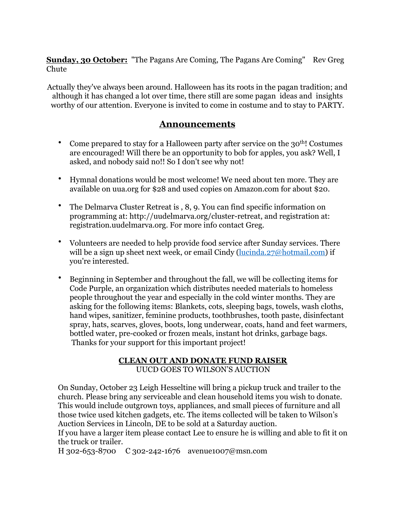**Sunday, 30 October:** "The Pagans Are Coming, The Pagans Are Coming" Rev Greg **Chute** 

Actually they've always been around. Halloween has its roots in the pagan tradition; and although it has changed a lot over time, there still are some pagan ideas and insights worthy of our attention. Everyone is invited to come in costume and to stay to PARTY.

### **Announcements**

- Come prepared to stay for a Halloween party after service on the 30<sup>th</sup>! Costumes are encouraged! Will there be an opportunity to bob for apples, you ask? Well, I asked, and nobody said no!! So I don't see why not!
- Hymnal donations would be most welcome! We need about ten more. They are available on uua.org for \$28 and used copies on Amazon.com for about \$20.
- The Delmarva Cluster Retreat is , 8, 9. You can find specific information on programming at: [http://uudelmarva.org/cluster-retreat,](http://uudelmarva.org/cluster-retreat) and registration at: [registration.uudelmarva.org](http://registration.uudelmarva.org/). For more info contact Greg.
- Volunteers are needed to help provide food service after Sunday services. There will be a sign up sheet next week, or email Cindy ([lucinda.27@hotmail.com](mailto:lucinda.27@hotmail.com)) if you're interested.
- Beginning in September and throughout the fall, we will be collecting items for Code Purple, an organization which distributes needed materials to homeless people throughout the year and especially in the cold winter months. They are asking for the following items: Blankets, cots, sleeping bags, towels, wash cloths, hand wipes, sanitizer, feminine products, toothbrushes, tooth paste, disinfectant spray, hats, scarves, gloves, boots, long underwear, coats, hand and feet warmers, bottled water, pre-cooked or frozen meals, instant hot drinks, garbage bags. Thanks for your support for this important project!

#### **CLEAN OUT AND DONATE FUND RAISER** UUCD GOES TO WILSON'S AUCTION

On Sunday, October 23 Leigh Hesseltine will bring a pickup truck and trailer to the church. Please bring any serviceable and clean household items you wish to donate. This would include outgrown toys, appliances, and small pieces of furniture and all those twice used kitchen gadgets, etc. The items collected will be taken to Wilson's Auction Services in Lincoln, DE to be sold at a Saturday auction.

If you have a larger item please contact Lee to ensure he is willing and able to fit it on the truck or trailer.

H 302-653-8700 C 302-242-1676 avenue1007@msn.com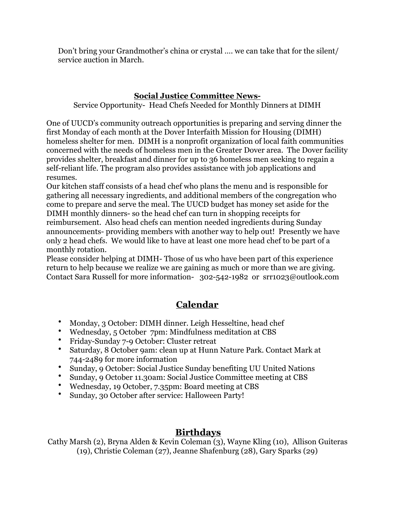Don't bring your Grandmother's china or crystal …. we can take that for the silent/ service auction in March.

### **Social Justice Committee News-**

Service Opportunity- Head Chefs Needed for Monthly Dinners at DIMH

One of UUCD's community outreach opportunities is preparing and serving dinner the first Monday of each month at the Dover Interfaith Mission for Housing (DIMH) homeless shelter for men. DIMH is a nonprofit organization of local faith communities concerned with the needs of homeless men in the Greater Dover area. The Dover facility provides shelter, breakfast and dinner for up to 36 homeless men seeking to regain a self-reliant life. The program also provides assistance with job applications and resumes.

Our kitchen staff consists of a head chef who plans the menu and is responsible for gathering all necessary ingredients, and additional members of the congregation who come to prepare and serve the meal. The UUCD budget has money set aside for the DIMH monthly dinners- so the head chef can turn in shopping receipts for reimbursement. Also head chefs can mention needed ingredients during Sunday announcements- providing members with another way to help out! Presently we have only 2 head chefs. We would like to have at least one more head chef to be part of a monthly rotation.

Please consider helping at DIMH- Those of us who have been part of this experience return to help because we realize we are gaining as much or more than we are giving. Contact Sara Russell for more information- 302-542-1982 or srr1023@outlook.com

# **Calendar**

- Monday, 3 October: DIMH dinner. Leigh Hesseltine, head chef
- Wednesday, 5 October 7pm: Mindfulness meditation at CBS
- Friday-Sunday 7-9 October: Cluster retreat
- Saturday, 8 October 9am: clean up at Hunn Nature Park. Contact Mark at 744-2489 for more information
- Sunday, 9 October: Social Justice Sunday benefiting UU United Nations
- Sunday, 9 October 11.30am: Social Justice Committee meeting at CBS
- Wednesday, 19 October, 7.35pm: Board meeting at CBS
- Sunday, 30 October after service: Halloween Party!

### **Birthdays**

Cathy Marsh (2), Bryna Alden & Kevin Coleman (3), Wayne Kling (10), Allison Guiteras (19), Christie Coleman (27), Jeanne Shafenburg (28), Gary Sparks (29)